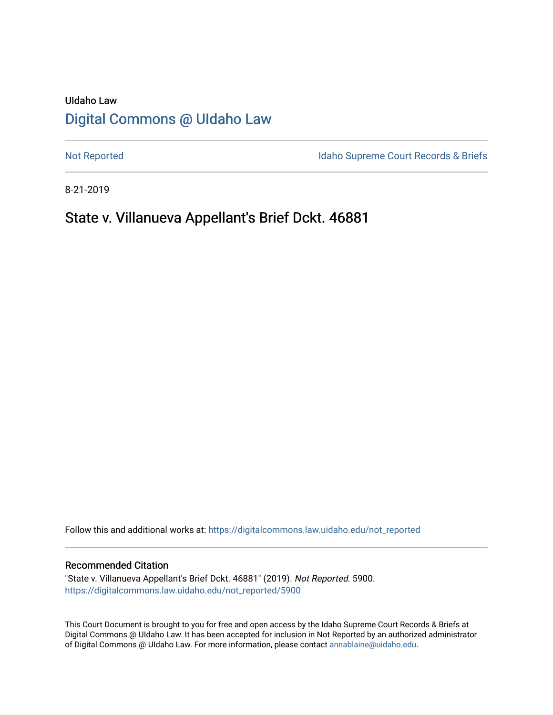# UIdaho Law [Digital Commons @ UIdaho Law](https://digitalcommons.law.uidaho.edu/)

[Not Reported](https://digitalcommons.law.uidaho.edu/not_reported) **Idaho Supreme Court Records & Briefs** 

8-21-2019

# State v. Villanueva Appellant's Brief Dckt. 46881

Follow this and additional works at: [https://digitalcommons.law.uidaho.edu/not\\_reported](https://digitalcommons.law.uidaho.edu/not_reported?utm_source=digitalcommons.law.uidaho.edu%2Fnot_reported%2F5900&utm_medium=PDF&utm_campaign=PDFCoverPages) 

#### Recommended Citation

"State v. Villanueva Appellant's Brief Dckt. 46881" (2019). Not Reported. 5900. [https://digitalcommons.law.uidaho.edu/not\\_reported/5900](https://digitalcommons.law.uidaho.edu/not_reported/5900?utm_source=digitalcommons.law.uidaho.edu%2Fnot_reported%2F5900&utm_medium=PDF&utm_campaign=PDFCoverPages)

This Court Document is brought to you for free and open access by the Idaho Supreme Court Records & Briefs at Digital Commons @ UIdaho Law. It has been accepted for inclusion in Not Reported by an authorized administrator of Digital Commons @ UIdaho Law. For more information, please contact [annablaine@uidaho.edu](mailto:annablaine@uidaho.edu).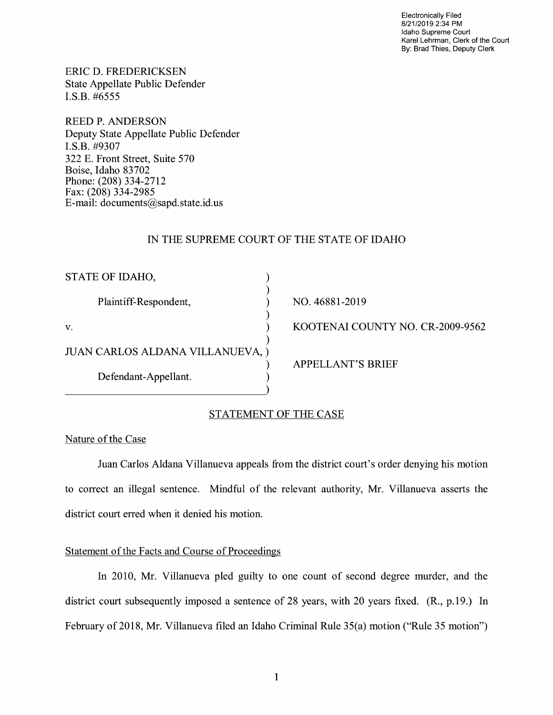Electronically Filed 8/21/2019 2:34 PM Idaho Supreme Court Karel Lehrman, Clerk of the Court By: Brad Thies, Deputy Clerk

ERIC D. FREDERICKSEN State Appellate Public Defender I.S.B. #6555

REED P. ANDERSON Deputy State Appellate Public Defender **I.S.B.** #9307 322 E. Front Street, Suite 570 Boise, Idaho 83702 Phone: (208) 334-2712 Fax: (208) 334-2985 E-mail: documents@sapd.state.id. us

# IN THE SUPREME COURT OF THE STATE OF IDAHO

| STATE OF IDAHO,                  |                                  |
|----------------------------------|----------------------------------|
|                                  |                                  |
| Plaintiff-Respondent,            | NO. 46881-2019                   |
|                                  |                                  |
| V.                               | KOOTENAI COUNTY NO. CR-2009-9562 |
|                                  |                                  |
| JUAN CARLOS ALDANA VILLANUEVA, ) |                                  |
|                                  | <b>APPELLANT'S BRIEF</b>         |
| Defendant-Appellant.             |                                  |
|                                  |                                  |

# STATEMENT OF THE CASE

# Nature of the Case

Juan Carlos Aldana Villanueva appeals from the district court's order denying his motion to correct an illegal sentence. Mindful of the relevant authority, Mr. Villanueva asserts the district court erred when it denied his motion.

# Statement of the Facts and Course of Proceedings

In 2010, Mr. Villanueva pled guilty to one count of second degree murder, and the district court subsequently imposed a sentence of 28 years, with 20 years fixed. (R., p.19.) In February of 2018, Mr. Villanueva filed an Idaho Criminal Rule 35(a) motion ("Rule 35 motion")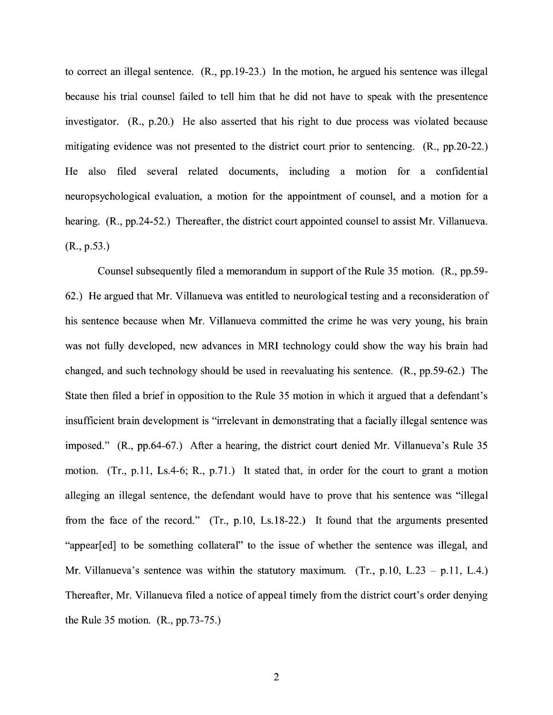to correct an illegal sentence. (R., pp.19-23.) In the motion, he argued his sentence was illegal because his trial counsel failed to tell him that he did not have to speak with the presentence investigator. (R., p.20.) He also asserted that his right to due process was violated because mitigating evidence was not presented to the district court prior to sentencing. (R., pp.20-22.) He also filed several related documents, including a motion for a confidential neuropsychological evaluation, a motion for the appointment of counsel, and a motion for a hearing. (R., pp. 24-52.) Thereafter, the district court appointed counsel to assist Mr. Villanueva. (R., p.53.)

Counsel subsequently filed a memorandum in support of the Rule 35 motion. (R., pp.59- 62.) He argued that Mr. Villanueva was entitled to neurological testing and a reconsideration of his sentence because when Mr. Villanueva committed the crime he was very young, his brain was not fully developed, new advances in MRI technology could show the way his brain had changed, and such technology should be used in reevaluating his sentence. **(R.,** pp.59-62.) The State then filed a brief in opposition to the Rule 35 motion in which it argued that a defendant's insufficient brain development is "irrelevant in demonstrating that a facially illegal sentence was imposed." **(R.,** pp.64-67.) After a hearing, the district court denied Mr. Villanueva's Rule 35 motion. (Tr., p.11, Ls.4-6; R., p.71.) It stated that, in order for the court to grant a motion alleging an illegal sentence, the defendant would have to prove that his sentence was "illegal from the face of the record." (Tr., p.10, Ls.18-22.) It found that the arguments presented "appear[ ed] to be something collateral" to the issue of whether the sentence was illegal, and Mr. Villanueva's sentence was within the statutory maximum. (Tr.,  $p.10$ , L.23 -  $p.11$ , L.4.) Thereafter, Mr. Villanueva filed a notice of appeal timely from the district court's order denying the Rule 35 motion. (R., pp.73-75.)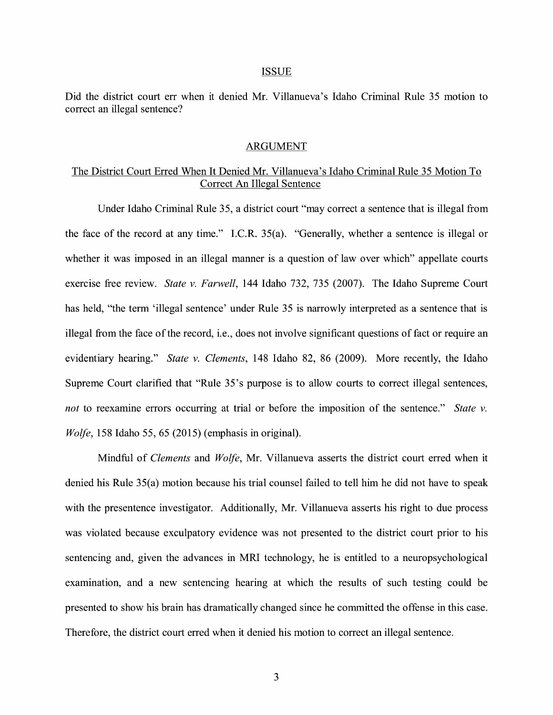#### ISSUE

Did the district court err when it denied Mr. Villanueva's Idaho Criminal Rule 35 motion to correct an illegal sentence?

### ARGUMENT

# The District Court Erred When It Denied Mr. Villanueva's Idaho Criminal Rule 35 Motion To Correct An Illegal Sentence

Under Idaho Criminal Rule 35, a district court "may correct a sentence that is illegal from the face of the record at any time." I.C.R. 35(a). "Generally, whether a sentence is illegal or whether it was imposed in an illegal manner is a question of law over which" appellate courts exercise free review. *State v. Farwell,* 144 Idaho 732, 735 (2007). The Idaho Supreme Court has held, "the term 'illegal sentence' under Rule 35 is narrowly interpreted as a sentence that is illegal from the face of the record, i.e., does not involve significant questions of fact or require an evidentiary hearing." *State v. Clements,* 148 Idaho 82, 86 (2009). More recently, the Idaho Supreme Court clarified that "Rule 35's purpose is to allow courts to correct illegal sentences, *not* to reexamine errors occurring at trial or before the imposition of the sentence." *State v. Wolfe,* 158 Idaho 55, 65 (2015) (emphasis in original).

Mindful of *Clements* and *Wolfe,* Mr. Villanueva asserts the district court erred when it denied his Rule 35(a) motion because his trial counsel failed to tell him he did not have to speak with the presentence investigator. Additionally, Mr. Villanueva asserts his right to due process was violated because exculpatory evidence was not presented to the district court prior to his sentencing and, given the advances in MRI technology, he is entitled to a neuropsychological examination, and a new sentencing hearing at which the results of such testing could be presented to show his brain has dramatically changed since he committed the offense in this case. Therefore, the district court erred when it denied his motion to correct an illegal sentence.